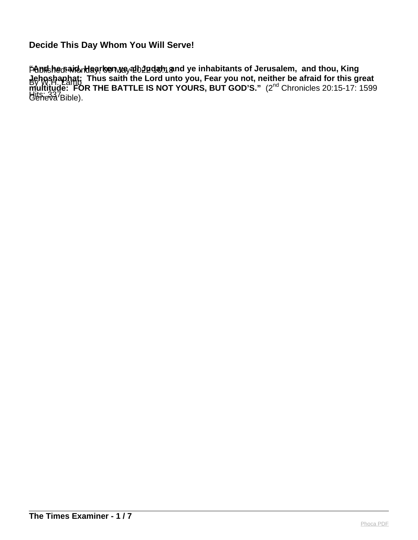PADNShecsaviondagroenway 2102 21 dam s By W.H. Lamb Hits: 337Bible). **"And he said, Hearken ye all Judah, and ye inhabitants of Jerusalem, and thou, King Jehoshaphat: Thus saith the Lord unto you, Fear you not, neither be afraid for this great multitude: FOR THE BATTLE IS NOT YOURS, BUT GOD'S."** (2<sup>nd</sup> Chronicles 20:15-17: 1599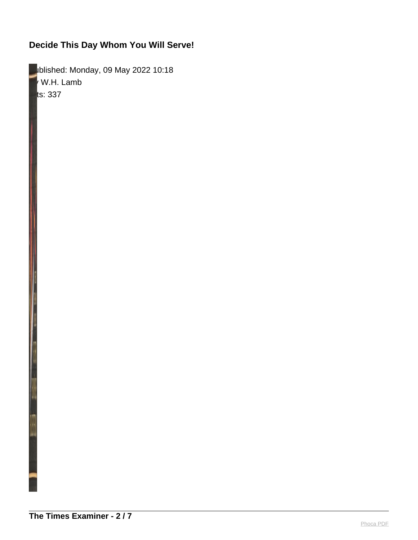**Published: Monday, 09 May 2022 10:18**  $\mathsf{\Psi}$  W.H. Lamb  $\|$ ts: 337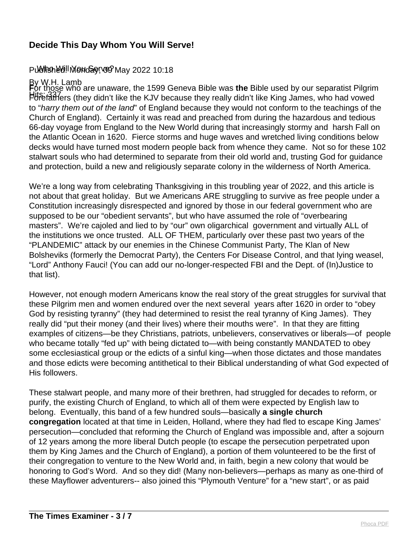#### PUBING MINGHO SOFWER May 2022 10:18

#### By W.H. Lamb

Hits: 337 Forefathers (they didn't like the KJV because they really didn't like King James, who had vowed **F**or those who are unaware, the 1599 Geneva Bible was the Bible used by our separatist Pilgrim to "harry them out of the land" of England because they would not conform to the teachings of the Church of England). Certainly it was read and preached from during the hazardous and tedious 66-day voyage from England to the New World during that increasingly stormy and harsh Fall on the Atlantic Ocean in 1620. Fierce storms and huge waves and wretched living conditions below decks would have turned most modern people back from whence they came. Not so for these 102 stalwart souls who had determined to separate from their old world and, trusting God for guidance and protection, build a new and religiously separate colony in the wilderness of North America.

We're a long way from celebrating Thanksgiving in this troubling year of 2022, and this article is not about that great holiday. But we Americans ARE struggling to survive as free people under a Constitution increasingly disrespected and ignored by those in our federal government who are supposed to be our "obedient servants", but who have assumed the role of "overbearing masters". We're cajoled and lied to by "our" own oligarchical government and virtually ALL of the institutions we once trusted. ALL OF THEM, particularly over these past two years of the "PLANDEMIC" attack by our enemies in the Chinese Communist Party, The Klan of New Bolsheviks (formerly the Democrat Party), the Centers For Disease Control, and that lying weasel, "Lord" Anthony Fauci! (You can add our no-longer-respected FBI and the Dept. of (In)Justice to that list).

However, not enough modern Americans know the real story of the great struggles for survival that these Pilgrim men and women endured over the next several years after 1620 in order to "obey God by resisting tyranny" (they had determined to resist the real tyranny of King James). They really did "put their money (and their lives) where their mouths were". In that they are fitting examples of citizens—be they Christians, patriots, unbelievers, conservatives or liberals—of people who became totally "fed up" with being dictated to—with being constantly MANDATED to obey some ecclesiastical group or the edicts of a sinful king—when those dictates and those mandates and those edicts were becoming antithetical to their Biblical understanding of what God expected of His followers.

These stalwart people, and many more of their brethren, had struggled for decades to reform, or purify, the existing Church of England, to which all of them were expected by English law to belong. Eventually, this band of a few hundred souls—basically **a single church congregation** located at that time in Leiden, Holland, where they had fled to escape King James' persecution—concluded that reforming the Church of England was impossible and, after a sojourn of 12 years among the more liberal Dutch people (to escape the persecution perpetrated upon them by King James and the Church of England), a portion of them volunteered to be the first of their congregation to venture to the New World and, in faith, begin a new colony that would be honoring to God's Word. And so they did! (Many non-believers—perhaps as many as one-third of these Mayflower adventurers-- also joined this "Plymouth Venture" for a "new start", or as paid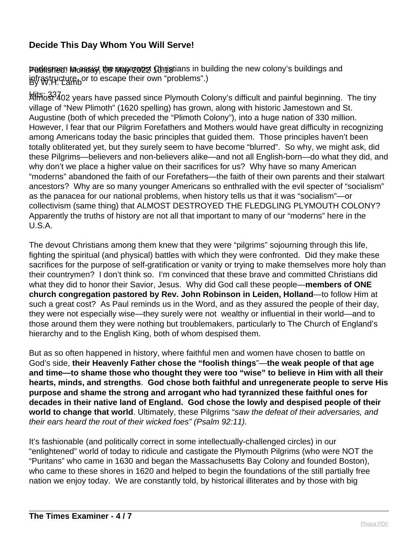Padesmen Monday, the pray 20th Christians in building the new colony's buildings and infrastructure, or to escape their own "problems".)

kliffic33402 years have passed since Plymouth Colony's difficult and painful beginning. The tiny village of "New Plimoth" (1620 spelling) has grown, along with historic Jamestown and St. Augustine (both of which preceded the "Plimoth Colony"), into a huge nation of 330 million. However, I fear that our Pilgrim Forefathers and Mothers would have great difficulty in recognizing among Americans today the basic principles that guided them. Those principles haven't been totally obliterated yet, but they surely seem to have become "blurred". So why, we might ask, did these Pilgrims—believers and non-believers alike—and not all English-born—do what they did, and why don't we place a higher value on their sacrifices for us? Why have so many American "moderns" abandoned the faith of our Forefathers—the faith of their own parents and their stalwart ancestors? Why are so many younger Americans so enthralled with the evil specter of "socialism" as the panacea for our national problems, when history tells us that it was "socialism"—or collectivism (same thing) that ALMOST DESTROYED THE FLEDGLING PLYMOUTH COLONY? Apparently the truths of history are not all that important to many of our "moderns" here in the U.S.A.

The devout Christians among them knew that they were "pilgrims" sojourning through this life, fighting the spiritual (and physical) battles with which they were confronted. Did they make these sacrifices for the purpose of self-gratification or vanity or trying to make themselves more holy than their countrymen? I don't think so. I'm convinced that these brave and committed Christians did what they did to honor their Savior, Jesus. Why did God call these people—**members of ONE church congregation pastored by Rev. John Robinson in Leiden, Holland**—to follow Him at such a great cost? As Paul reminds us in the Word, and as they assured the people of their day, they were not especially wise—they surely were not wealthy or influential in their world—and to those around them they were nothing but troublemakers, particularly to The Church of England's hierarchy and to the English King, both of whom despised them.

But as so often happened in history, where faithful men and women have chosen to battle on God's side, **their Heavenly Father chose the "foolish things**"—**the weak people of that age and time—to shame those who thought they were too "wise" to believe in Him with all their hearts, minds, and strengths**. **God chose both faithful and unregenerate people to serve His purpose and shame the strong and arrogant who had tyrannized these faithful ones for decades in their native land of England. God chose the lowly and despised people of their world to change that world**. Ultimately, these Pilgrims "saw the defeat of their adversaries, and their ears heard the rout of their wicked foes" (Psalm 92:11).

It's fashionable (and politically correct in some intellectually-challenged circles) in our "enlightened" world of today to ridicule and castigate the Plymouth Pilgrims (who were NOT the "Puritans" who came in 1630 and began the Massachusetts Bay Colony and founded Boston), who came to these shores in 1620 and helped to begin the foundations of the still partially free nation we enjoy today. We are constantly told, by historical illiterates and by those with big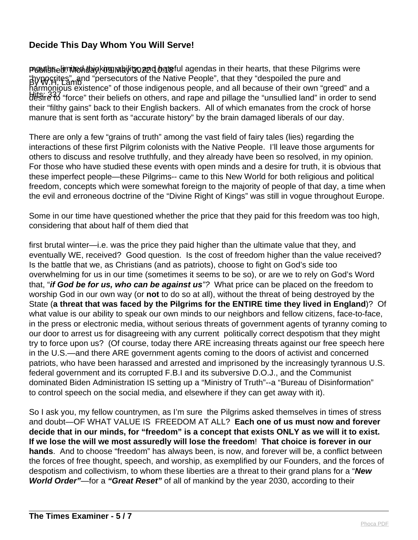Pwylishelimite hay kuy mahility on diateful agendas in their hearts, that these Pilgrims were By W.H. Lamb "hypocrites", and "persecutors of the Native People", that they "despoiled the pure and Hits: 337 are characterized their will general property and an accurace of mean can green and at harmonious existence" of those indigenous people, and all because of their own "greed" and a their "filthy gains" back to their English backers. All of which emanates from the crock of horse manure that is sent forth as "accurate history" by the brain damaged liberals of our day.

There are only a few "grains of truth" among the vast field of fairy tales (lies) regarding the interactions of these first Pilgrim colonists with the Native People. I'll leave those arguments for others to discuss and resolve truthfully, and they already have been so resolved, in my opinion. For those who have studied these events with open minds and a desire for truth, it is obvious that these imperfect people—these Pilgrims-- came to this New World for both religious and political freedom, concepts which were somewhat foreign to the majority of people of that day, a time when the evil and erroneous doctrine of the "Divine Right of Kings" was still in vogue throughout Europe.

Some in our time have questioned whether the price that they paid for this freedom was too high, considering that about half of them died that

first brutal winter—i.e. was the price they paid higher than the ultimate value that they, and eventually WE, received? Good question. Is the cost of freedom higher than the value received? Is the battle that we, as Christians (and as patriots), choose to fight on God's side too overwhelming for us in our time (sometimes it seems to be so), or are we to rely on God's Word that, "**if God be for us, who can be against us**"? What price can be placed on the freedom to worship God in our own way (or **not** to do so at all), without the threat of being destroyed by the State (**a threat that was faced by the Pilgrims for the ENTIRE time they lived in England**)? Of what value is our ability to speak our own minds to our neighbors and fellow citizens, face-to-face, in the press or electronic media, without serious threats of government agents of tyranny coming to our door to arrest us for disagreeing with any current politically correct despotism that they might try to force upon us? (Of course, today there ARE increasing threats against our free speech here in the U.S.—and there ARE government agents coming to the doors of activist and concerned patriots, who have been harassed and arrested and imprisoned by the increasingly tyrannous U.S. federal government and its corrupted F.B.I and its subversive D.O.J., and the Communist dominated Biden Administration IS setting up a "Ministry of Truth"--a "Bureau of Disinformation" to control speech on the social media, and elsewhere if they can get away with it).

So I ask you, my fellow countrymen, as I'm sure the Pilgrims asked themselves in times of stress and doubt—OF WHAT VALUE IS FREEDOM AT ALL? **Each one of us must now and forever decide that in our minds, for "freedom" is a concept that exists ONLY as we will it to exist. If we lose the will we most assuredly will lose the freedom**! **That choice is forever in our hands**. And to choose "freedom" has always been, is now, and forever will be, a conflict between the forces of free thought, speech, and worship, as exemplified by our Founders, and the forces of despotism and collectivism, to whom these liberties are a threat to their grand plans for a "**New World Order"**—for a **"Great Reset"** of all of mankind by the year 2030, according to their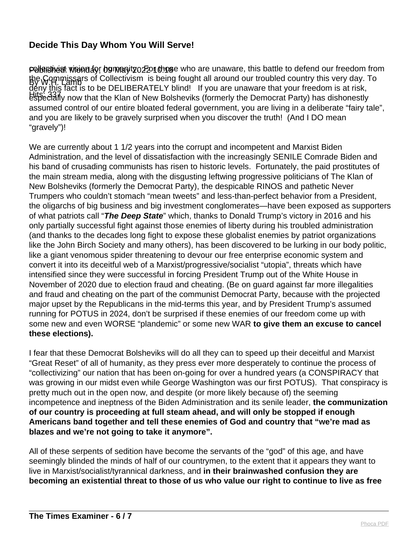Pullen in the interpretivity of the set of the parameter who are unaware, this battle to defend our freedom from the Commissars of Collectivism is being fought all around our troubled country this very day. To Hits: 337 especially now that the Klan of New Bolsheviks (formerly the Democrat Party) has dishonestly deny this fact is to be DELIBERATELY blind! If you are unaware that your freedom is at risk, assumed control of our entire bloated federal government, you are living in a deliberate "fairy tale", and you are likely to be gravely surprised when you discover the truth! (And I DO mean "gravely")!

We are currently about 1 1/2 years into the corrupt and incompetent and Marxist Biden Administration, and the level of dissatisfaction with the increasingly SENILE Comrade Biden and his band of crusading communists has risen to historic levels. Fortunately, the paid prostitutes of the main stream media, along with the disgusting leftwing progressive politicians of The Klan of New Bolsheviks (formerly the Democrat Party), the despicable RINOS and pathetic Never Trumpers who couldn't stomach "mean tweets" and less-than-perfect behavior from a President, the oligarchs of big business and big investment conglomerates—have been exposed as supporters of what patriots call "**The Deep State**" which, thanks to Donald Trump's victory in 2016 and his only partially successful fight against those enemies of liberty during his troubled administration (and thanks to the decades long fight to expose these globalist enemies by patriot organizations like the John Birch Society and many others), has been discovered to be lurking in our body politic, like a giant venomous spider threatening to devour our free enterprise economic system and convert it into its deceitful web of a Marxist/progressive/socialist "utopia", threats which have intensified since they were successful in forcing President Trump out of the White House in November of 2020 due to election fraud and cheating. (Be on guard against far more illegalities and fraud and cheating on the part of the communist Democrat Party, because with the projected major upset by the Republicans in the mid-terms this year, and by President Trump's assumed running for POTUS in 2024, don't be surprised if these enemies of our freedom come up with some new and even WORSE "plandemic" or some new WAR **to give them an excuse to cancel these elections).** 

I fear that these Democrat Bolsheviks will do all they can to speed up their deceitful and Marxist "Great Reset" of all of humanity, as they press ever more desperately to continue the process of "collectivizing" our nation that has been on-going for over a hundred years (a CONSPIRACY that was growing in our midst even while George Washington was our first POTUS). That conspiracy is pretty much out in the open now, and despite (or more likely because of) the seeming incompetence and ineptness of the Biden Administration and its senile leader, **the communization of our country is proceeding at full steam ahead, and will only be stopped if enough Americans band together and tell these enemies of God and country that "we're mad as blazes and we're not going to take it anymore".**

All of these serpents of sedition have become the servants of the "god" of this age, and have seemingly blinded the minds of half of our countrymen, to the extent that it appears they want to live in Marxist/socialist/tyrannical darkness, and **in their brainwashed confusion they are becoming an existential threat to those of us who value our right to continue to live as free**